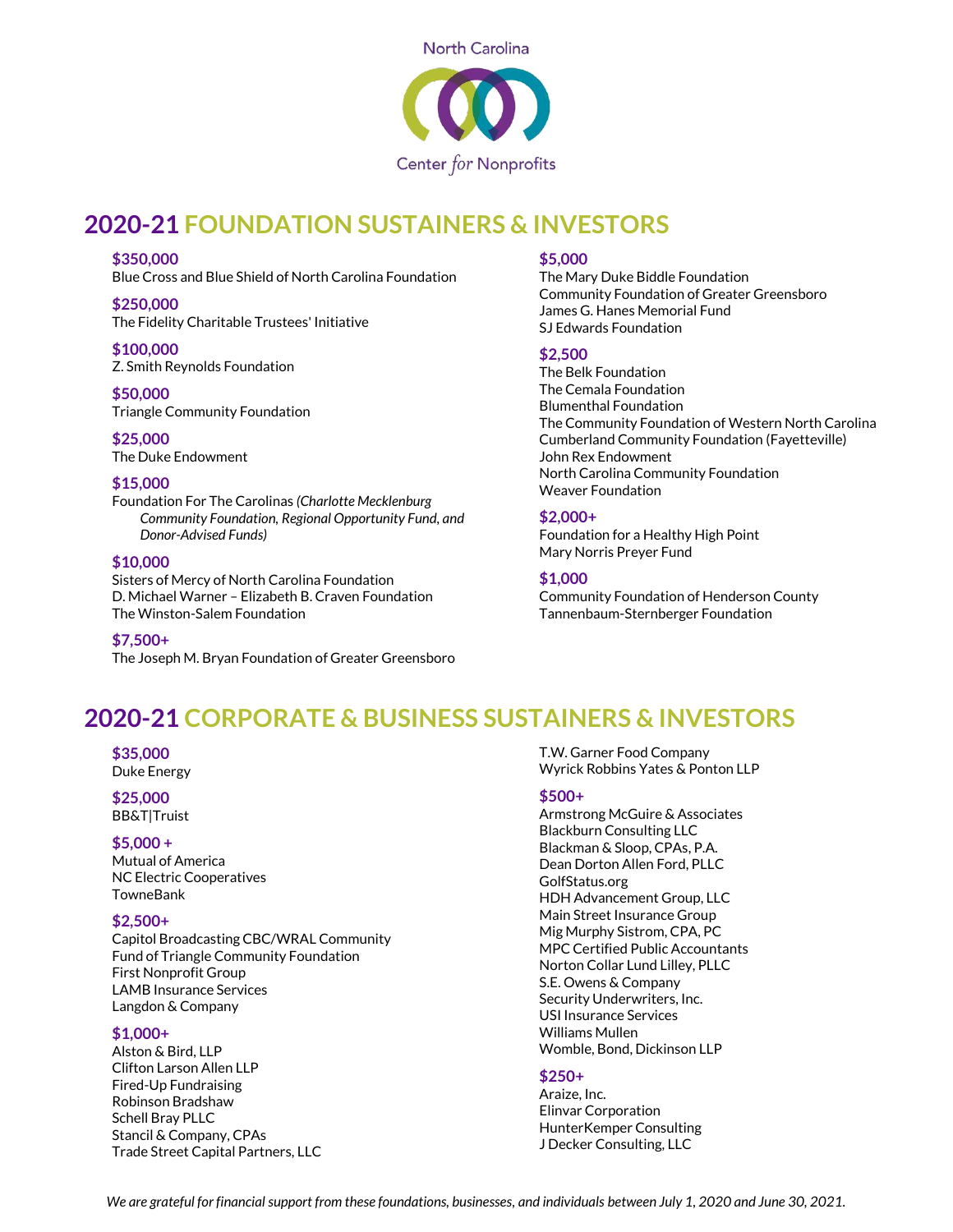

## **2020-21 FOUNDATION SUSTAINERS & INVESTORS**

#### **\$350,000**

Blue Cross and Blue Shield of North Carolina Foundation

**\$250,000** The Fidelity Charitable Trustees' Initiative

#### **\$100,000**

Z. Smith Reynolds Foundation

#### **\$50,000**

Triangle Community Foundation

**\$25,000** The Duke Endowment

## **\$15,000**

Foundation For The Carolinas *(Charlotte Mecklenburg Community Foundation, Regional Opportunity Fund, and Donor-Advised Funds)*

### **\$10,000**

Sisters of Mercy of North Carolina Foundation D. Michael Warner – Elizabeth B. Craven Foundation The Winston-Salem Foundation

**\$7,500+** The Joseph M. Bryan Foundation of Greater Greensboro

## **\$5,000**

The Mary Duke Biddle Foundation Community Foundation of Greater Greensboro James G. Hanes Memorial Fund SJ Edwards Foundation

### **\$2,500**

The Belk Foundation The Cemala Foundation Blumenthal Foundation The Community Foundation of Western North Carolina Cumberland Community Foundation (Fayetteville) John Rex Endowment North Carolina Community Foundation Weaver Foundation

## **\$2,000+**

Foundation for a Healthy High Point Mary Norris Preyer Fund

## **\$1,000**

Community Foundation of Henderson County Tannenbaum-Sternberger Foundation

# **2020-21 CORPORATE & BUSINESS SUSTAINERS & INVESTORS**

## **\$35,000**

Duke Energy

#### **\$25,000** BB&T|Truist

## **\$5,000 +**

Mutual of America NC Electric Cooperatives TowneBank

## **\$2,500+**

Capitol Broadcasting CBC/WRAL Community Fund of Triangle Community Foundation First Nonprofit Group LAMB Insurance Services Langdon & Company

## **\$1,000+**

Alston & Bird, LLP Clifton Larson Allen LLP Fired-Up Fundraising Robinson Bradshaw Schell Bray PLLC Stancil & Company, CPAs Trade Street Capital Partners, LLC T.W. Garner Food Company Wyrick Robbins Yates & Ponton LLP

### **\$500+**

Armstrong McGuire & Associates Blackburn Consulting LLC Blackman & Sloop, CPAs, P.A. Dean Dorton Allen Ford, PLLC GolfStatus.org HDH Advancement Group, LLC Main Street Insurance Group Mig Murphy Sistrom, CPA, PC MPC Certified Public Accountants Norton Collar Lund Lilley, PLLC S.E. Owens & Company Security Underwriters, Inc. USI Insurance Services Williams Mullen Womble, Bond, Dickinson LLP

## **\$250+**

Araize, Inc. Elinvar Corporation HunterKemper Consulting J Decker Consulting, LLC